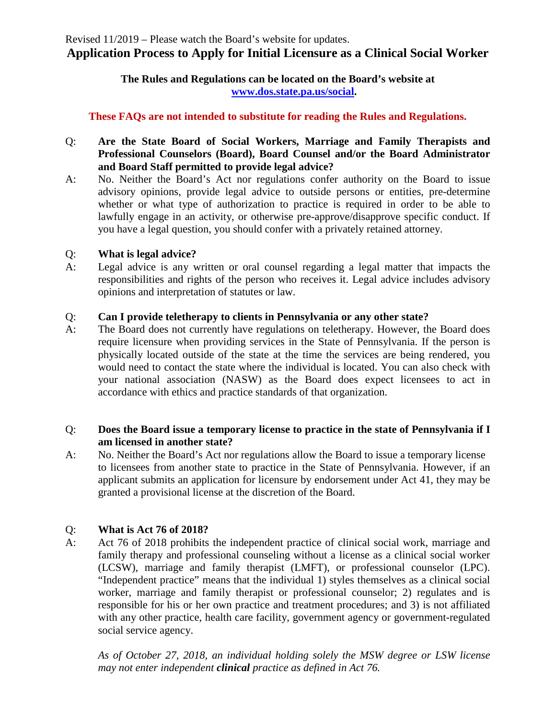## **The Rules and Regulations can be located on the Board's website at [www.dos.state.pa.us/social.](http://www.dos.state.pa.us/social)**

# **These FAQs are not intended to substitute for reading the Rules and Regulations.**

- Q: **Are the State Board of Social Workers, Marriage and Family Therapists and Professional Counselors (Board), Board Counsel and/or the Board Administrator and Board Staff permitted to provide legal advice?**
- A: No. Neither the Board's Act nor regulations confer authority on the Board to issue advisory opinions, provide legal advice to outside persons or entities, pre-determine whether or what type of authorization to practice is required in order to be able to lawfully engage in an activity, or otherwise pre-approve/disapprove specific conduct. If you have a legal question, you should confer with a privately retained attorney.

## Q: **What is legal advice?**

A: Legal advice is any written or oral counsel regarding a legal matter that impacts the responsibilities and rights of the person who receives it. Legal advice includes advisory opinions and interpretation of statutes or law.

# Q: **Can I provide teletherapy to clients in Pennsylvania or any other state?**

A: The Board does not currently have regulations on teletherapy. However, the Board does require licensure when providing services in the State of Pennsylvania. If the person is physically located outside of the state at the time the services are being rendered, you would need to contact the state where the individual is located. You can also check with your national association (NASW) as the Board does expect licensees to act in accordance with ethics and practice standards of that organization.

# Q: **Does the Board issue a temporary license to practice in the state of Pennsylvania if I am licensed in another state?**

A: No. Neither the Board's Act nor regulations allow the Board to issue a temporary license to licensees from another state to practice in the State of Pennsylvania. However, if an applicant submits an application for licensure by endorsement under Act 41, they may be granted a provisional license at the discretion of the Board.

# Q: **What is Act 76 of 2018?**

A: Act 76 of 2018 prohibits the independent practice of clinical social work, marriage and family therapy and professional counseling without a license as a clinical social worker (LCSW), marriage and family therapist (LMFT), or professional counselor (LPC). "Independent practice" means that the individual 1) styles themselves as a clinical social worker, marriage and family therapist or professional counselor; 2) regulates and is responsible for his or her own practice and treatment procedures; and 3) is not affiliated with any other practice, health care facility, government agency or government-regulated social service agency.

*As of October 27, 2018, an individual holding solely the MSW degree or LSW license may not enter independent clinical practice as defined in Act 76.*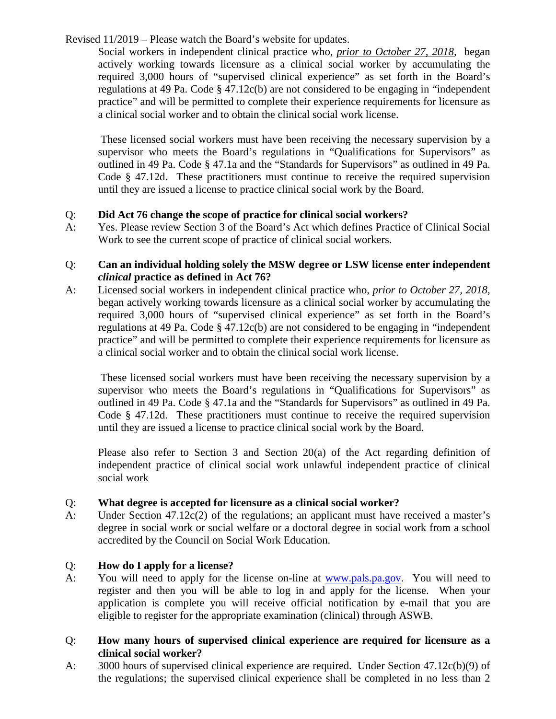Social workers in independent clinical practice who, *prior to October 27, 2018*, began actively working towards licensure as a clinical social worker by accumulating the required 3,000 hours of "supervised clinical experience" as set forth in the Board's regulations at 49 Pa. Code § 47.12c(b) are not considered to be engaging in "independent practice" and will be permitted to complete their experience requirements for licensure as a clinical social worker and to obtain the clinical social work license.

These licensed social workers must have been receiving the necessary supervision by a supervisor who meets the Board's regulations in "Qualifications for Supervisors" as outlined in 49 Pa. Code § 47.1a and the "Standards for Supervisors" as outlined in 49 Pa. Code § 47.12d. These practitioners must continue to receive the required supervision until they are issued a license to practice clinical social work by the Board.

# Q: **Did Act 76 change the scope of practice for clinical social workers?**

A: Yes. Please review Section 3 of the Board's Act which defines Practice of Clinical Social Work to see the current scope of practice of clinical social workers.

## Q: **Can an individual holding solely the MSW degree or LSW license enter independent**  *clinical* **practice as defined in Act 76?**

A: Licensed social workers in independent clinical practice who, *prior to October 27, 2018*, began actively working towards licensure as a clinical social worker by accumulating the required 3,000 hours of "supervised clinical experience" as set forth in the Board's regulations at 49 Pa. Code § 47.12c(b) are not considered to be engaging in "independent practice" and will be permitted to complete their experience requirements for licensure as a clinical social worker and to obtain the clinical social work license.

These licensed social workers must have been receiving the necessary supervision by a supervisor who meets the Board's regulations in "Qualifications for Supervisors" as outlined in 49 Pa. Code § 47.1a and the "Standards for Supervisors" as outlined in 49 Pa. Code § 47.12d. These practitioners must continue to receive the required supervision until they are issued a license to practice clinical social work by the Board.

Please also refer to Section 3 and Section 20(a) of the Act regarding definition of independent practice of clinical social work unlawful independent practice of clinical social work

## Q: **What degree is accepted for licensure as a clinical social worker?**

A: Under Section 47.12c(2) of the regulations; an applicant must have received a master's degree in social work or social welfare or a doctoral degree in social work from a school accredited by the Council on Social Work Education.

# Q: **How do I apply for a license?**

A: You will need to apply for the license on-line at [www.pals.pa.gov.](http://www.pals.pa.gov/) You will need to register and then you will be able to log in and apply for the license. When your application is complete you will receive official notification by e-mail that you are eligible to register for the appropriate examination (clinical) through ASWB.

## Q: **How many hours of supervised clinical experience are required for licensure as a clinical social worker?**

A: 3000 hours of supervised clinical experience are required. Under Section 47.12c(b)(9) of the regulations; the supervised clinical experience shall be completed in no less than 2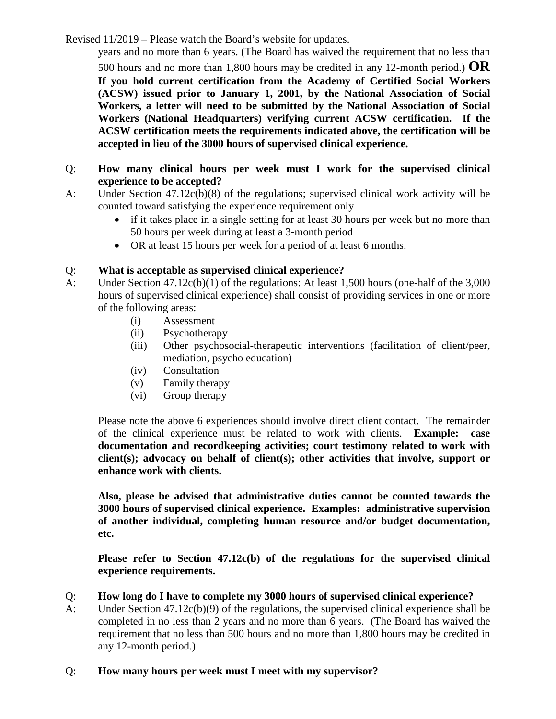years and no more than 6 years. (The Board has waived the requirement that no less than

500 hours and no more than 1,800 hours may be credited in any 12-month period.) **OR If you hold current certification from the Academy of Certified Social Workers (ACSW) issued prior to January 1, 2001, by the National Association of Social Workers, a letter will need to be submitted by the National Association of Social Workers (National Headquarters) verifying current ACSW certification. If the ACSW certification meets the requirements indicated above, the certification will be accepted in lieu of the 3000 hours of supervised clinical experience.** 

- Q: **How many clinical hours per week must I work for the supervised clinical experience to be accepted?**
- A: Under Section 47.12c(b)(8) of the regulations; supervised clinical work activity will be counted toward satisfying the experience requirement only
	- if it takes place in a single setting for at least 30 hours per week but no more than 50 hours per week during at least a 3-month period
	- OR at least 15 hours per week for a period of at least 6 months.

## Q: **What is acceptable as supervised clinical experience?**

- A: Under Section 47.12c(b)(1) of the regulations: At least 1,500 hours (one-half of the 3,000 hours of supervised clinical experience) shall consist of providing services in one or more of the following areas:
	- (i) Assessment
	- (ii) Psychotherapy
	- (iii) Other psychosocial-therapeutic interventions (facilitation of client/peer, mediation, psycho education)
	- (iv) Consultation
	- (v) Family therapy
	- (vi) Group therapy

Please note the above 6 experiences should involve direct client contact. The remainder of the clinical experience must be related to work with clients. **Example: case documentation and recordkeeping activities; court testimony related to work with client(s); advocacy on behalf of client(s); other activities that involve, support or enhance work with clients.**

**Also, please be advised that administrative duties cannot be counted towards the 3000 hours of supervised clinical experience. Examples: administrative supervision of another individual, completing human resource and/or budget documentation, etc.** 

**Please refer to Section 47.12c(b) of the regulations for the supervised clinical experience requirements.**

- Q: **How long do I have to complete my 3000 hours of supervised clinical experience?**
- A: Under Section 47.12c(b)(9) of the regulations, the supervised clinical experience shall be completed in no less than 2 years and no more than 6 years. (The Board has waived the requirement that no less than 500 hours and no more than 1,800 hours may be credited in any 12-month period.)

## Q: **How many hours per week must I meet with my supervisor?**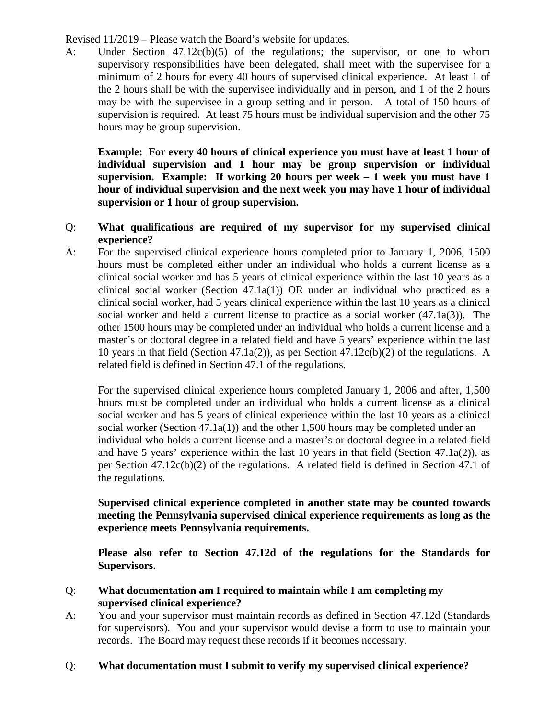A: Under Section 47.12c(b)(5) of the regulations; the supervisor, or one to whom supervisory responsibilities have been delegated, shall meet with the supervisee for a minimum of 2 hours for every 40 hours of supervised clinical experience. At least 1 of the 2 hours shall be with the supervisee individually and in person, and 1 of the 2 hours may be with the supervisee in a group setting and in person. A total of 150 hours of supervision is required. At least 75 hours must be individual supervision and the other 75 hours may be group supervision.

**Example: For every 40 hours of clinical experience you must have at least 1 hour of individual supervision and 1 hour may be group supervision or individual supervision. Example: If working 20 hours per week – 1 week you must have 1 hour of individual supervision and the next week you may have 1 hour of individual supervision or 1 hour of group supervision.**

- Q: **What qualifications are required of my supervisor for my supervised clinical experience?**
- A: For the supervised clinical experience hours completed prior to January 1, 2006, 1500 hours must be completed either under an individual who holds a current license as a clinical social worker and has 5 years of clinical experience within the last 10 years as a clinical social worker (Section 47.1a(1)) OR under an individual who practiced as a clinical social worker, had 5 years clinical experience within the last 10 years as a clinical social worker and held a current license to practice as a social worker (47.1a(3)). The other 1500 hours may be completed under an individual who holds a current license and a master's or doctoral degree in a related field and have 5 years' experience within the last 10 years in that field (Section 47.1a(2)), as per Section 47.12c(b)(2) of the regulations. A related field is defined in Section 47.1 of the regulations.

For the supervised clinical experience hours completed January 1, 2006 and after, 1,500 hours must be completed under an individual who holds a current license as a clinical social worker and has 5 years of clinical experience within the last 10 years as a clinical social worker (Section 47.1a(1)) and the other 1,500 hours may be completed under an individual who holds a current license and a master's or doctoral degree in a related field and have 5 years' experience within the last 10 years in that field (Section 47.1a(2)), as per Section 47.12c(b)(2) of the regulations. A related field is defined in Section 47.1 of the regulations.

#### **Supervised clinical experience completed in another state may be counted towards meeting the Pennsylvania supervised clinical experience requirements as long as the experience meets Pennsylvania requirements.**

**Please also refer to Section 47.12d of the regulations for the Standards for Supervisors.**

## Q: **What documentation am I required to maintain while I am completing my supervised clinical experience?**

A: You and your supervisor must maintain records as defined in Section 47.12d (Standards for supervisors). You and your supervisor would devise a form to use to maintain your records. The Board may request these records if it becomes necessary.

## Q: **What documentation must I submit to verify my supervised clinical experience?**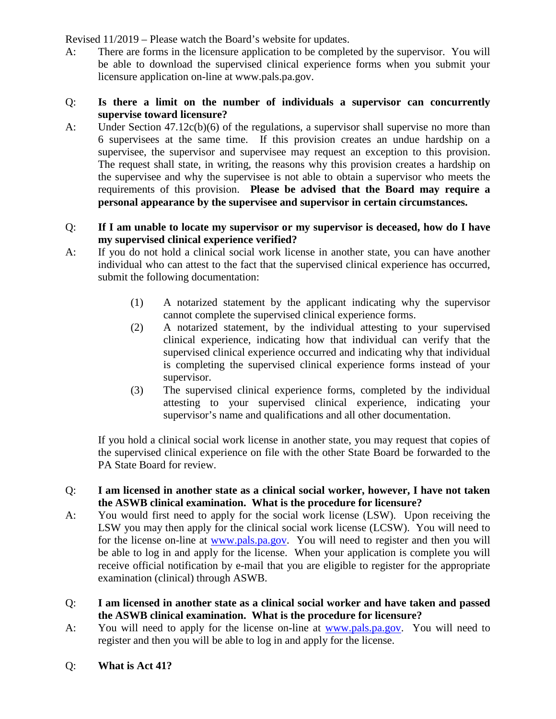A: There are forms in the licensure application to be completed by the supervisor. You will be able to download the supervised clinical experience forms when you submit your licensure application on-line at www.pals.pa.gov.

#### Q: **Is there a limit on the number of individuals a supervisor can concurrently supervise toward licensure?**

A: Under Section 47.12c(b)(6) of the regulations, a supervisor shall supervise no more than 6 supervisees at the same time. If this provision creates an undue hardship on a supervisee, the supervisor and supervisee may request an exception to this provision. The request shall state, in writing, the reasons why this provision creates a hardship on the supervisee and why the supervisee is not able to obtain a supervisor who meets the requirements of this provision. **Please be advised that the Board may require a personal appearance by the supervisee and supervisor in certain circumstances.**

#### Q: **If I am unable to locate my supervisor or my supervisor is deceased, how do I have my supervised clinical experience verified?**

- A: If you do not hold a clinical social work license in another state, you can have another individual who can attest to the fact that the supervised clinical experience has occurred, submit the following documentation:
	- (1) A notarized statement by the applicant indicating why the supervisor cannot complete the supervised clinical experience forms.
	- (2) A notarized statement, by the individual attesting to your supervised clinical experience, indicating how that individual can verify that the supervised clinical experience occurred and indicating why that individual is completing the supervised clinical experience forms instead of your supervisor.
	- (3) The supervised clinical experience forms, completed by the individual attesting to your supervised clinical experience, indicating your supervisor's name and qualifications and all other documentation.

If you hold a clinical social work license in another state, you may request that copies of the supervised clinical experience on file with the other State Board be forwarded to the PA State Board for review.

#### Q: **I am licensed in another state as a clinical social worker, however, I have not taken the ASWB clinical examination. What is the procedure for licensure?**

- A: You would first need to apply for the social work license (LSW). Upon receiving the LSW you may then apply for the clinical social work license (LCSW). You will need to for the license on-line at [www.pals.pa.gov.](http://www.pals.pa.gov/) You will need to register and then you will be able to log in and apply for the license. When your application is complete you will receive official notification by e-mail that you are eligible to register for the appropriate examination (clinical) through ASWB.
- Q: **I am licensed in another state as a clinical social worker and have taken and passed the ASWB clinical examination. What is the procedure for licensure?**
- A: You will need to apply for the license on-line at [www.pals.pa.gov.](http://www.pals.pa.gov/) You will need to register and then you will be able to log in and apply for the license.
- Q: **What is Act 41?**